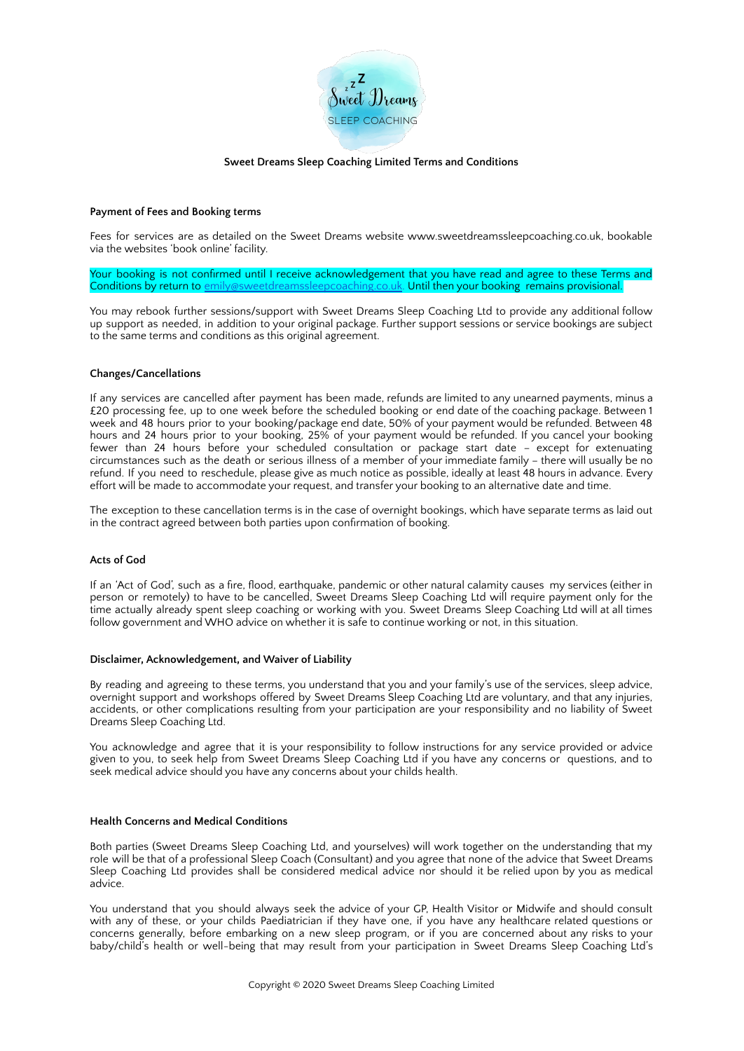

## **Sweet Dreams Sleep Coaching Limited Terms and Conditions**

## **Payment of Fees and Booking terms**

Fees for services are as detailed on the Sweet Dreams website www.sweetdreamssleepcoaching.co.uk, bookable via the websites 'book online' facility.

Your booking is not confirmed until I receive acknowledgement that you have read and agree to these Terms and Conditions by return to **[emily@sweetdreamssleepcoaching.co.uk](mailto:emily@sweetdreamssleepcoaching.co.uk)**. Until then your booking remains provisional.

You may rebook further sessions/support with Sweet Dreams Sleep Coaching Ltd to provide any additional follow up support as needed, in addition to your original package. Further support sessions or service bookings are subject to the same terms and conditions as this original agreement.

## **Changes/Cancellations**

If any services are cancelled after payment has been made, refunds are limited to any unearned payments, minus a £20 processing fee, up to one week before the scheduled booking or end date of the coaching package. Between 1 week and 48 hours prior to your booking/package end date, 50% of your payment would be refunded. Between 48 hours and 24 hours prior to your booking, 25% of your payment would be refunded. If you cancel your booking fewer than 24 hours before your scheduled consultation or package start date – except for extenuating circumstances such as the death or serious illness of a member of your immediate family – there will usually be no refund. If you need to reschedule, please give as much notice as possible, ideally at least 48 hours in advance. Every effort will be made to accommodate your request, and transfer your booking to an alternative date and time.

The exception to these cancellation terms is in the case of overnight bookings, which have separate terms as laid out in the contract agreed between both parties upon confirmation of booking.

# **Acts of God**

If an 'Act of God', such as a fire, flood, earthquake, pandemic or other natural calamity causes my services (either in person or remotely) to have to be cancelled, Sweet Dreams Sleep Coaching Ltd will require payment only for the time actually already spent sleep coaching or working with you. Sweet Dreams Sleep Coaching Ltd will at all times follow government and WHO advice on whether it is safe to continue working or not, in this situation.

#### **Disclaimer, Acknowledgement, and Waiver of Liability**

By reading and agreeing to these terms, you understand that you and your family's use of the services, sleep advice, overnight support and workshops offered by Sweet Dreams Sleep Coaching Ltd are voluntary, and that any injuries, accidents, or other complications resulting from your participation are your responsibility and no liability of Sweet Dreams Sleep Coaching Ltd.

You acknowledge and agree that it is your responsibility to follow instructions for any service provided or advice given to you, to seek help from Sweet Dreams Sleep Coaching Ltd if you have any concerns or questions, and to seek medical advice should you have any concerns about your childs health.

### **Health Concerns and Medical Conditions**

Both parties (Sweet Dreams Sleep Coaching Ltd, and yourselves) will work together on the understanding that my role will be that of a professional Sleep Coach (Consultant) and you agree that none of the advice that Sweet Dreams Sleep Coaching Ltd provides shall be considered medical advice nor should it be relied upon by you as medical advice.

You understand that you should always seek the advice of your GP, Health Visitor or Midwife and should consult with any of these, or your childs Paediatrician if they have one, if you have any healthcare related questions or concerns generally, before embarking on a new sleep program, or if you are concerned about any risks to your baby/child's health or well-being that may result from your participation in Sweet Dreams Sleep Coaching Ltd's